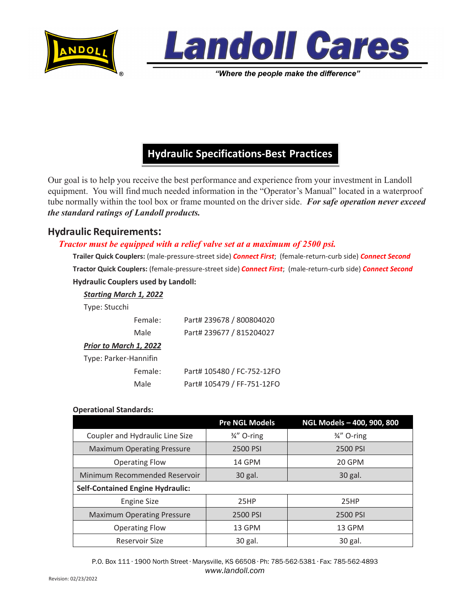



"Where the people make the difference"

## **Hydraulic Specifications-Best Practices**

Our goal is to help you receive the best performance and experience from your investment in Landoll equipment. You will find much needed information in the "Operator's Manual" located in a waterproof tube normally within the tool box or frame mounted on the driver side. *For safe operation never exceed the standard ratings of Landoll products.*

## **Hydraulic Requirements:**

## *Tractor must be equipped with a relief valve set at a maximum of 2500 psi.*

**Trailer Quick Couplers:** (male-pressure-street side) *Connect First*; (female-return-curb side) *Connect Second* **Tractor Quick Couplers:** (female-pressure-street side) *Connect First*; (male-return-curb side) *Connect Second* **Hydraulic Couplers used by Landoll:**

| <b>Starting March 1, 2022</b> |         |                            |  |  |
|-------------------------------|---------|----------------------------|--|--|
| Type: Stucchi                 |         |                            |  |  |
|                               | Female: | Part# 239678 / 800804020   |  |  |
|                               | Male    | Part# 239677 / 815204027   |  |  |
| Prior to March 1, 2022        |         |                            |  |  |
| Type: Parker-Hannifin         |         |                            |  |  |
|                               | Female: | Part# 105480 / FC-752-12FO |  |  |
|                               | Male    | Part# 105479 / FF-751-12FO |  |  |

## **Operational Standards:**

|                                         | <b>Pre NGL Models</b>  | NGL Models - 400, 900, 800 |  |
|-----------------------------------------|------------------------|----------------------------|--|
| Coupler and Hydraulic Line Size         | $\frac{3}{4}$ " O-ring | $\frac{3}{4}$ " O-ring     |  |
| <b>Maximum Operating Pressure</b>       | 2500 PSI               | 2500 PSI                   |  |
| <b>Operating Flow</b>                   | 14 GPM                 | 20 GPM                     |  |
| Minimum Recommended Reservoir           | 30 gal.                | 30 gal.                    |  |
| <b>Self-Contained Engine Hydraulic:</b> |                        |                            |  |
| <b>Engine Size</b>                      | 25HP                   | 25HP                       |  |
| <b>Maximum Operating Pressure</b>       | 2500 PSI               | 2500 PSI                   |  |
| <b>Operating Flow</b>                   | 13 GPM                 | 13 GPM                     |  |
| Reservoir Size                          | 30 gal.                | 30 gal.                    |  |

P.O. Box 111 ∙ 1900 North Street ∙ Marysville, KS 66508 ∙ Ph: 785-562-5381 ∙ Fax: 785-562-4893 *www.landoll.com*